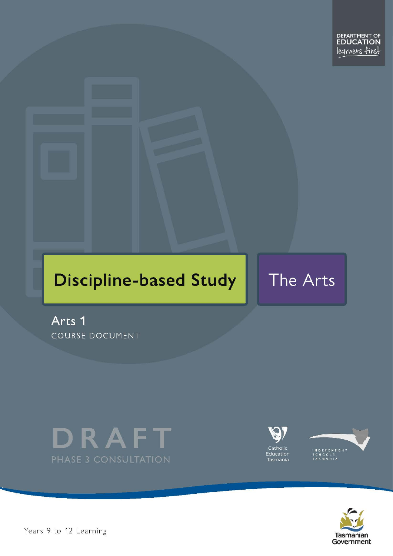# **Discipline-based Study**

# The Arts

Arts 1 COURSE DOCUMENT







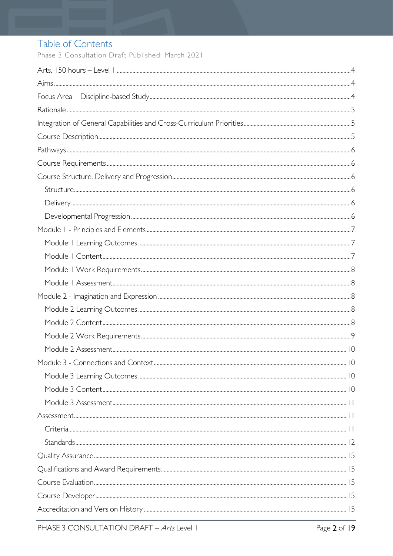# Table of Contents

Phase 3 Consultation Draft Published: March 2021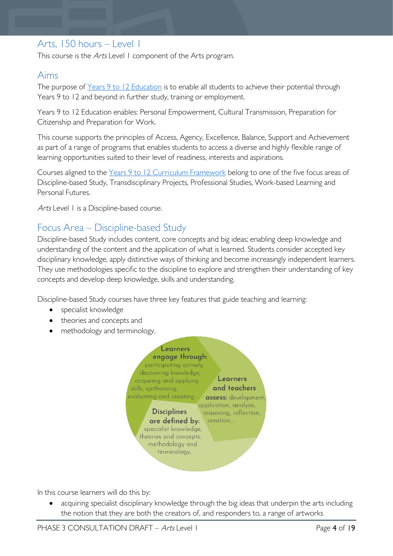# <span id="page-3-0"></span>Arts, 150 hours – Level 1

This course is the Arts Level 1 component of the Arts program.

## <span id="page-3-1"></span>Aims

The purpose of Years 9 to 12 [Education](https://publicdocumentcentre.education.tas.gov.au/library/Shared%20Documents/Years-9-to-12-Education-Framework.pdf) is to enable all students to achieve their potential through Years 9 to 12 and beyond in further study, training or employment.

Years 9 to 12 Education enables: Personal Empowerment, Cultural Transmission, Preparation for Citizenship and Preparation for Work.

This course supports the principles of Access, Agency, Excellence, Balance, Support and Achievement as part of a range of programs that enables students to access a diverse and highly flexible range of learning opportunities suited to their level of readiness, interests and aspirations.

Courses aligned to the Years 9 to 12 Curriculum [Framework](https://publicdocumentcentre.education.tas.gov.au/library/Shared%20Documents/Education%209-12%20Frameworks%20A3%20WEB%20POSTER.pdf) belong to one of the five focus areas of Discipline-based Study, Transdisciplinary Projects, Professional Studies, Work-based Learning and Personal Futures.

Arts Level 1 is a Discipline-based course.

# <span id="page-3-2"></span>Focus Area – Discipline-based Study

Discipline-based Study includes content, core concepts and big ideas; enabling deep knowledge and understanding of the content and the application of what is learned. Students consider accepted key disciplinary knowledge, apply distinctive ways of thinking and become increasingly independent learners. They use methodologies specific to the discipline to explore and strengthen their understanding of key concepts and develop deep knowledge, skills and understanding.

Discipline-based Study courses have three key features that guide teaching and learning:

- specialist knowledge
- theories and concepts and
- methodology and terminology.



In this course learners will do this by:

acquiring specialist disciplinary knowledge through the big ideas that underpin the arts including the notion that they are both the creators of, and responders to, a range of artworks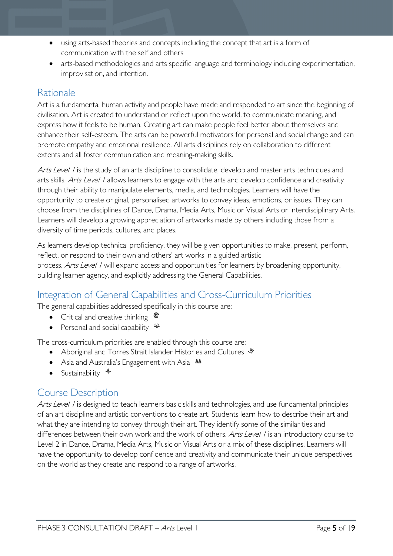- using arts-based theories and concepts including the concept that art is a form of communication with the self and others
- arts-based methodologies and arts specific language and terminology including experimentation, improvisation, and intention.

# <span id="page-4-0"></span>Rationale

Art is a fundamental human activity and people have made and responded to art since the beginning of civilisation. Art is created to understand or reflect upon the world, to communicate meaning, and express how it feels to be human. Creating art can make people feel better about themselves and enhance their self-esteem. The arts can be powerful motivators for personal and social change and can promote empathy and emotional resilience. All arts disciplines rely on collaboration to different extents and all foster communication and meaning-making skills.

Arts Level I is the study of an arts discipline to consolidate, develop and master arts techniques and arts skills. Arts Level / allows learners to engage with the arts and develop confidence and creativity through their ability to manipulate elements, media, and technologies. Learners will have the opportunity to create original, personalised artworks to convey ideas, emotions, or issues. They can choose from the disciplines of Dance, Drama, Media Arts, Music or Visual Arts or Interdisciplinary Arts. Learners will develop a growing appreciation of artworks made by others including those from a diversity of time periods, cultures, and places.

As learners develop technical proficiency, they will be given opportunities to make, present, perform, reflect, or respond to their own and others' art works in a guided artistic process. Arts Level I will expand access and opportunities for learners by broadening opportunity, building learner agency, and explicitly addressing the General Capabilities.

# <span id="page-4-1"></span>Integration of General Capabilities and Cross-Curriculum Priorities

The general capabilities addressed specifically in this course are:

- Critical and creative thinking  $\epsilon$
- Personal and social capability  $\ddot{\bullet}$

The cross-curriculum priorities are enabled through this course are:

- Aboriginal and Torres Strait Islander Histories and Cultures  $\mathcal$
- Asia and Australia's Engagement with Asia **AA**
- Sustainability  $\triangleleft$

## <span id="page-4-2"></span>Course Description

Arts Level I is designed to teach learners basic skills and technologies, and use fundamental principles of an art discipline and artistic conventions to create art. Students learn how to describe their art and what they are intending to convey through their art. They identify some of the similarities and differences between their own work and the work of others. Arts Level I is an introductory course to Level 2 in Dance, Drama, Media Arts, Music or Visual Arts or a mix of these disciplines. Learners will have the opportunity to develop confidence and creativity and communicate their unique perspectives on the world as they create and respond to a range of artworks.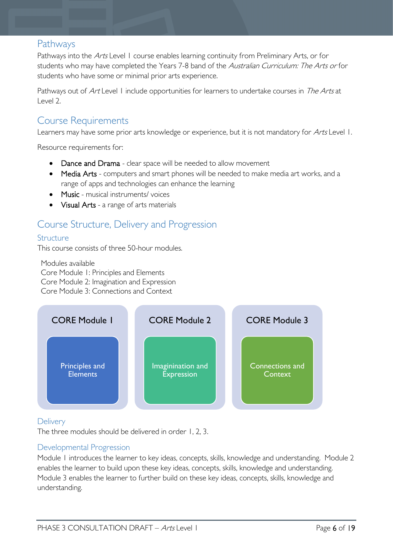# <span id="page-5-0"></span>Pathways

Pathways into the Arts Level 1 course enables learning continuity from Preliminary Arts, or for students who may have completed the Years 7-8 band of the Australian Curriculum: The Arts or for students who have some or minimal prior arts experience.

Pathways out of Art Level 1 include opportunities for learners to undertake courses in The Arts at Level 2.

# <span id="page-5-1"></span>Course Requirements

Learners may have some prior arts knowledge or experience, but it is not mandatory for Arts Level 1.

Resource requirements for:

- Dance and Drama clear space will be needed to allow movement
- Media Arts computers and smart phones will be needed to make media art works, and a range of apps and technologies can enhance the learning
- Music musical instruments/voices
- Visual Arts a range of arts materials

# <span id="page-5-2"></span>Course Structure, Delivery and Progression

#### <span id="page-5-3"></span>Structure

This course consists of three 50-hour modules.

Modules available Core Module 1: Principles and Elements Core Module 2: Imagination and Expression Core Module 3: Connections and Context



#### <span id="page-5-4"></span>**Delivery**

The three modules should be delivered in order 1, 2, 3.

#### <span id="page-5-5"></span>Developmental Progression

Module 1 introduces the learner to key ideas, concepts, skills, knowledge and understanding. Module 2 enables the learner to build upon these key ideas, concepts, skills, knowledge and understanding. Module 3 enables the learner to further build on these key ideas, concepts, skills, knowledge and understanding.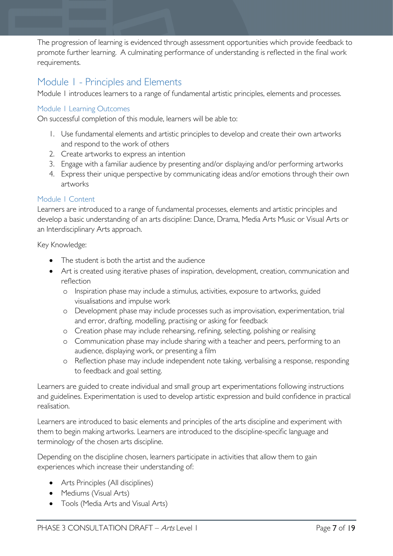The progression of learning is evidenced through assessment opportunities which provide feedback to promote further learning. A culminating performance of understanding is reflected in the final work requirements.

# <span id="page-6-0"></span>Module 1 - Principles and Elements

Module 1 introduces learners to a range of fundamental artistic principles, elements and processes.

#### <span id="page-6-1"></span>Module 1 Learning Outcomes

On successful completion of this module, learners will be able to:

- 1. Use fundamental elements and artistic principles to develop and create their own artworks and respond to the work of others
- 2. Create artworks to express an intention
- 3. Engage with a familiar audience by presenting and/or displaying and/or performing artworks
- 4. Express their unique perspective by communicating ideas and/or emotions through their own artworks

#### <span id="page-6-2"></span>Module 1 Content

Learners are introduced to a range of fundamental processes, elements and artistic principles and develop a basic understanding of an arts discipline: Dance, Drama, Media Arts Music or Visual Arts or an Interdisciplinary Arts approach.

Key Knowledge:

- The student is both the artist and the audience
- Art is created using iterative phases of inspiration, development, creation, communication and reflection
	- o Inspiration phase may include a stimulus, activities, exposure to artworks, guided visualisations and impulse work
	- o Development phase may include processes such as improvisation, experimentation, trial and error, drafting, modelling, practising or asking for feedback
	- o Creation phase may include rehearsing, refining, selecting, polishing or realising
	- o Communication phase may include sharing with a teacher and peers, performing to an audience, displaying work, or presenting a film
	- o Reflection phase may include independent note taking, verbalising a response, responding to feedback and goal setting.

Learners are guided to create individual and small group art experimentations following instructions and guidelines. Experimentation is used to develop artistic expression and build confidence in practical realisation.

Learners are introduced to basic elements and principles of the arts discipline and experiment with them to begin making artworks. Learners are introduced to the discipline-specific language and terminology of the chosen arts discipline.

Depending on the discipline chosen, learners participate in activities that allow them to gain experiences which increase their understanding of:

- Arts Principles (All disciplines)
- Mediums (Visual Arts)
- Tools (Media Arts and Visual Arts)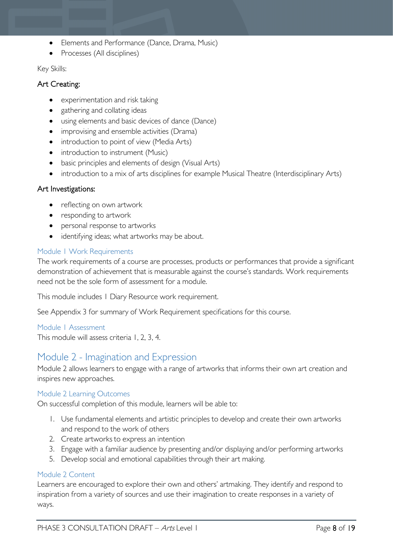- Elements and Performance (Dance, Drama, Music)
- Processes (All disciplines)

#### Key Skills:

#### Art Creating:

- experimentation and risk taking
- gathering and collating ideas
- using elements and basic devices of dance (Dance)
- improvising and ensemble activities (Drama)
- introduction to point of view (Media Arts)
- introduction to instrument (Music)
- basic principles and elements of design (Visual Arts)
- introduction to a mix of arts disciplines for example Musical Theatre (Interdisciplinary Arts)

#### Art Investigations:

- reflecting on own artwork
- responding to artwork
- personal response to artworks
- identifying ideas; what artworks may be about.

#### <span id="page-7-0"></span>Module 1 Work Requirements

The work requirements of a course are processes, products or performances that provide a significant demonstration of achievement that is measurable against the course's standards. Work requirements need not be the sole form of assessment for a module.

This module includes 1 Diary Resource work requirement.

See Appendix 3 for summary of Work Requirement specifications for this course.

#### <span id="page-7-1"></span>Module 1 Assessment

This module will assess criteria 1, 2, 3, 4.

## <span id="page-7-2"></span>Module 2 - Imagination and Expression

Module 2 allows learners to engage with a range of artworks that informs their own art creation and inspires new approaches.

#### <span id="page-7-3"></span>Module 2 Learning Outcomes

On successful completion of this module, learners will be able to:

- 1. Use fundamental elements and artistic principles to develop and create their own artworks and respond to the work of others
- 2. Create artworks to express an intention
- 3. Engage with a familiar audience by presenting and/or displaying and/or performing artworks
- 5. Develop social and emotional capabilities through their art making.

#### <span id="page-7-4"></span>Module 2 Content

Learners are encouraged to explore their own and others' artmaking. They identify and respond to inspiration from a variety of sources and use their imagination to create responses in a variety of ways.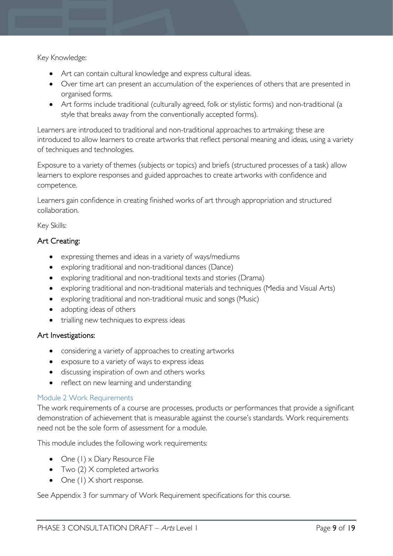Key Knowledge:

- Art can contain cultural knowledge and express cultural ideas.
- Over time art can present an accumulation of the experiences of others that are presented in organised forms.
- Art forms include traditional (culturally agreed, folk or stylistic forms) and non-traditional (a style that breaks away from the conventionally accepted forms).

Learners are introduced to traditional and non-traditional approaches to artmaking; these are introduced to allow learners to create artworks that reflect personal meaning and ideas, using a variety of techniques and technologies.

Exposure to a variety of themes (subjects or topics) and briefs (structured processes of a task) allow learners to explore responses and guided approaches to create artworks with confidence and competence.

Learners gain confidence in creating finished works of art through appropriation and structured collaboration.

Key Skills:

#### Art Creating:

- expressing themes and ideas in a variety of ways/mediums
- exploring traditional and non-traditional dances (Dance)
- exploring traditional and non-traditional texts and stories (Drama)
- exploring traditional and non-traditional materials and techniques (Media and Visual Arts)
- exploring traditional and non-traditional music and songs (Music)
- adopting ideas of others
- trialling new techniques to express ideas

#### Art Investigations:

- considering a variety of approaches to creating artworks
- exposure to a variety of ways to express ideas
- discussing inspiration of own and others works
- reflect on new learning and understanding

#### <span id="page-8-0"></span>Module 2 Work Requirements

The work requirements of a course are processes, products or performances that provide a significant demonstration of achievement that is measurable against the course's standards. Work requirements need not be the sole form of assessment for a module.

This module includes the following work requirements:

- One (1) x Diary Resource File
- Two  $(2)$  X completed artworks
- One (1) X short response.

See Appendix 3 for summary of Work Requirement specifications for this course.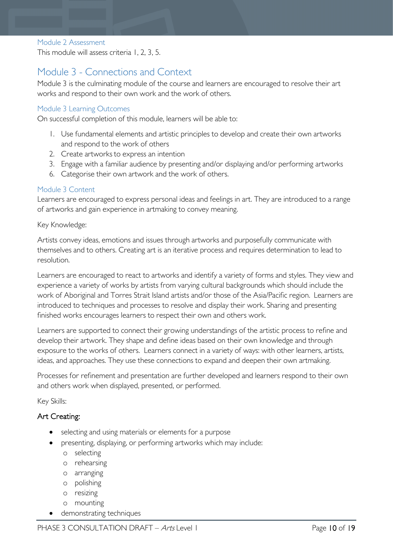#### <span id="page-9-0"></span>Module 2 Assessment

This module will assess criteria 1, 2, 3, 5.

## <span id="page-9-1"></span>Module 3 - Connections and Context

Module 3 is the culminating module of the course and learners are encouraged to resolve their art works and respond to their own work and the work of others.

#### <span id="page-9-2"></span>Module 3 Learning Outcomes

On successful completion of this module, learners will be able to:

- 1. Use fundamental elements and artistic principles to develop and create their own artworks and respond to the work of others
- 2. Create artworks to express an intention
- 3. Engage with a familiar audience by presenting and/or displaying and/or performing artworks
- 6. Categorise their own artwork and the work of others.

#### <span id="page-9-3"></span>Module 3 Content

Learners are encouraged to express personal ideas and feelings in art. They are introduced to a range of artworks and gain experience in artmaking to convey meaning.

#### Key Knowledge:

Artists convey ideas, emotions and issues through artworks and purposefully communicate with themselves and to others. Creating art is an iterative process and requires determination to lead to resolution.

Learners are encouraged to react to artworks and identify a variety of forms and styles. They view and experience a variety of works by artists from varying cultural backgrounds which should include the work of Aboriginal and Torres Strait Island artists and/or those of the Asia/Pacific region. Learners are introduced to techniques and processes to resolve and display their work. Sharing and presenting finished works encourages learners to respect their own and others work.

Learners are supported to connect their growing understandings of the artistic process to refine and develop their artwork. They shape and define ideas based on their own knowledge and through exposure to the works of others. Learners connect in a variety of ways: with other learners, artists, ideas, and approaches. They use these connections to expand and deepen their own artmaking.

Processes for refinement and presentation are further developed and learners respond to their own and others work when displayed, presented, or performed.

Key Skills:

#### Art Creating:

- selecting and using materials or elements for a purpose
- presenting, displaying, or performing artworks which may include:
	- o selecting
	- o rehearsing
	- o arranging
	- o polishing
	- o resizing
	- o mounting
- demonstrating techniques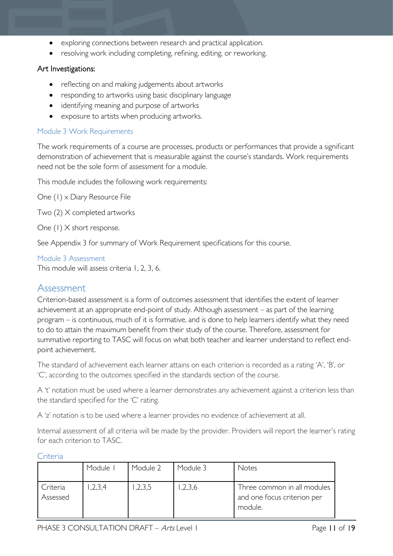- exploring connections between research and practical application.
- resolving work including completing, refining, editing, or reworking.

#### Art Investigations:

- reflecting on and making judgements about artworks
- responding to artworks using basic disciplinary language
- identifying meaning and purpose of artworks
- exposure to artists when producing artworks.

#### Module 3 Work Requirements

The work requirements of a course are processes, products or performances that provide a significant demonstration of achievement that is measurable against the course's standards. Work requirements need not be the sole form of assessment for a module.

This module includes the following work requirements:

One (1) x Diary Resource File

Two (2) X completed artworks

One (1) X short response.

See Appendix 3 for summary of Work Requirement specifications for this course.

<span id="page-10-0"></span>Module 3 Assessment

This module will assess criteria 1, 2, 3, 6.

#### <span id="page-10-1"></span>Assessment

Criterion-based assessment is a form of outcomes assessment that identifies the extent of learner achievement at an appropriate end-point of study. Although assessment – as part of the learning program – is continuous, much of it is formative, and is done to help learners identify what they need to do to attain the maximum benefit from their study of the course. Therefore, assessment for summative reporting to TASC will focus on what both teacher and learner understand to reflect endpoint achievement.

The standard of achievement each learner attains on each criterion is recorded as a rating 'A', 'B', or 'C', according to the outcomes specified in the standards section of the course.

A 't' notation must be used where a learner demonstrates any achievement against a criterion less than the standard specified for the 'C' rating.

A 'z' notation is to be used where a learner provides no evidence of achievement at all.

Internal assessment of all criteria will be made by the provider. Providers will report the learner's rating for each criterion to TASC.

<span id="page-10-2"></span>

|  | € | я |
|--|---|---|
|  |   |   |

|                      | Module  | Module 2 | Module 3 | <b>Notes</b>                                                          |
|----------------------|---------|----------|----------|-----------------------------------------------------------------------|
| Criteria<br>Assessed | 1,2,3,4 | ,2,3,5   | ,2,3,6   | Three common in all modules<br>and one focus criterion per<br>module. |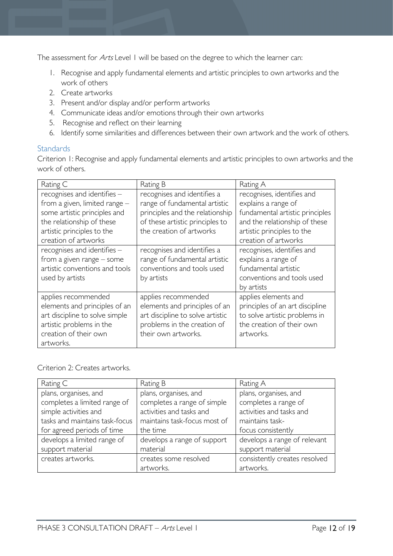The assessment for Arts Level 1 will be based on the degree to which the learner can:

- 1. Recognise and apply fundamental elements and artistic principles to own artworks and the work of others
- 2. Create artworks
- 3. Present and/or display and/or perform artworks
- 4. Communicate ideas and/or emotions through their own artworks
- 5. Recognise and reflect on their learning
- 6. Identify some similarities and differences between their own artwork and the work of others.

#### <span id="page-11-0"></span>**Standards**

Criterion 1: Recognise and apply fundamental elements and artistic principles to own artworks and the work of others.

| Rating C                                                                                                                                                                        | Rating B                                                                                                                                                       | Rating A                                                                                                                                                                    |
|---------------------------------------------------------------------------------------------------------------------------------------------------------------------------------|----------------------------------------------------------------------------------------------------------------------------------------------------------------|-----------------------------------------------------------------------------------------------------------------------------------------------------------------------------|
| recognises and identifies -<br>from a given, limited range -<br>some artistic principles and<br>the relationship of these<br>artistic principles to the<br>creation of artworks | recognises and identifies a<br>range of fundamental artistic<br>principles and the relationship<br>of these artistic principles to<br>the creation of artworks | recognises, identifies and<br>explains a range of<br>fundamental artistic principles<br>and the relationship of these<br>artistic principles to the<br>creation of artworks |
| recognises and identifies -<br>from a given range $-$ some<br>artistic conventions and tools<br>used by artists                                                                 | recognises and identifies a<br>range of fundamental artistic<br>conventions and tools used<br>by artists                                                       | recognises, identifies and<br>explains a range of<br>fundamental artistic<br>conventions and tools used<br>by artists                                                       |
| applies recommended<br>elements and principles of an<br>art discipline to solve simple<br>artistic problems in the<br>creation of their own<br>artworks.                        | applies recommended<br>elements and principles of an<br>art discipline to solve artistic<br>problems in the creation of<br>their own artworks.                 | applies elements and<br>principles of an art discipline<br>to solve artistic problems in<br>the creation of their own<br>artworks.                                          |

#### Criterion 2: Creates artworks.

| Rating C                       | Rating B                     | Rating A                      |
|--------------------------------|------------------------------|-------------------------------|
| plans, organises, and          | plans, organises, and        | plans, organises, and         |
| completes a limited range of   | completes a range of simple  | completes a range of          |
| simple activities and          | activities and tasks and     | activities and tasks and      |
| tasks and maintains task-focus | maintains task-focus most of | maintains task-               |
| for agreed periods of time     | the time                     | focus consistently            |
| develops a limited range of    | develops a range of support  | develops a range of relevant  |
| support material               | material                     | support material              |
| creates artworks.              | creates some resolved        | consistently creates resolved |
|                                | artworks.                    | artworks.                     |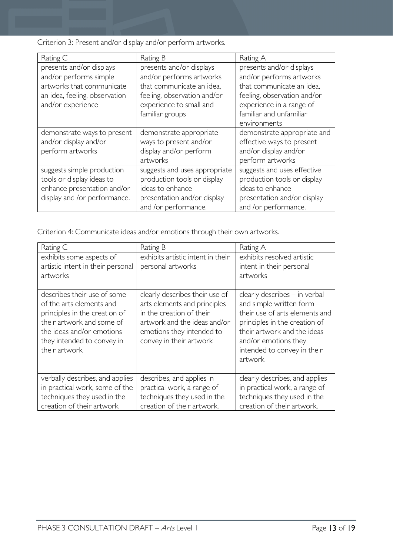Criterion 3: Present and/or display and/or perform artworks.

| Rating C                                                                                                                              | Rating B                                                                                                                                                       | Rating A                                                                                                                                                                                |
|---------------------------------------------------------------------------------------------------------------------------------------|----------------------------------------------------------------------------------------------------------------------------------------------------------------|-----------------------------------------------------------------------------------------------------------------------------------------------------------------------------------------|
| presents and/or displays<br>and/or performs simple<br>artworks that communicate<br>an idea, feeling, observation<br>and/or experience | presents and/or displays<br>and/or performs artworks<br>that communicate an idea,<br>feeling, observation and/or<br>experience to small and<br>familiar groups | presents and/or displays<br>and/or performs artworks<br>that communicate an idea,<br>feeling, observation and/or<br>experience in a range of<br>familiar and unfamiliar<br>environments |
| demonstrate ways to present<br>and/or display and/or<br>perform artworks                                                              | demonstrate appropriate<br>ways to present and/or<br>display and/or perform<br>artworks                                                                        | demonstrate appropriate and<br>effective ways to present<br>and/or display and/or<br>perform artworks                                                                                   |
| suggests simple production<br>tools or display ideas to<br>enhance presentation and/or<br>display and /or performance.                | suggests and uses appropriate<br>production tools or display<br>ideas to enhance<br>presentation and/or display<br>and /or performance.                        | suggests and uses effective<br>production tools or display<br>ideas to enhance<br>presentation and/or display<br>and /or performance.                                                   |

Criterion 4: Communicate ideas and/or emotions through their own artworks.

| Rating C                                                                                                                                                                                          | Rating B                                                                                                                                                                           | Rating A                                                                                                                                                                                                                           |
|---------------------------------------------------------------------------------------------------------------------------------------------------------------------------------------------------|------------------------------------------------------------------------------------------------------------------------------------------------------------------------------------|------------------------------------------------------------------------------------------------------------------------------------------------------------------------------------------------------------------------------------|
| exhibits some aspects of<br>artistic intent in their personal<br>artworks                                                                                                                         | exhibits artistic intent in their<br>personal artworks                                                                                                                             | exhibits resolved artistic<br>intent in their personal<br>artworks                                                                                                                                                                 |
| describes their use of some<br>of the arts elements and<br>principles in the creation of<br>their artwork and some of<br>the ideas and/or emotions<br>they intended to convey in<br>their artwork | clearly describes their use of<br>arts elements and principles<br>in the creation of their<br>artwork and the ideas and/or<br>emotions they intended to<br>convey in their artwork | $clearly$ describes $-$ in verbal<br>and simple written form -<br>their use of arts elements and<br>principles in the creation of<br>their artwork and the ideas<br>and/or emotions they<br>intended to convey in their<br>artwork |
| verbally describes, and applies<br>in practical work, some of the<br>techniques they used in the<br>creation of their artwork.                                                                    | describes, and applies in<br>practical work, a range of<br>techniques they used in the<br>creation of their artwork.                                                               | clearly describes, and applies<br>in practical work, a range of<br>techniques they used in the<br>creation of their artwork.                                                                                                       |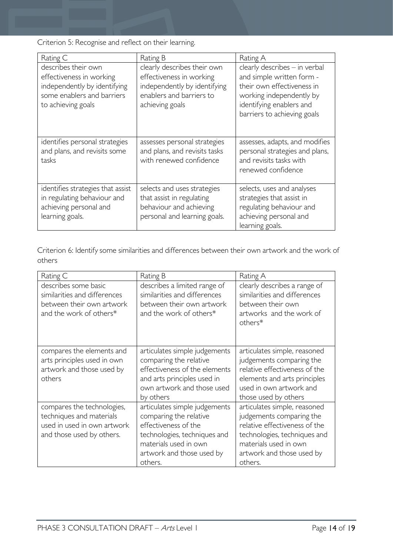Criterion 5: Recognise and reflect on their learning.

| Rating C                                                                                                                            | Rating B                                                                                                                               | Rating A                                                                                                                                                                        |
|-------------------------------------------------------------------------------------------------------------------------------------|----------------------------------------------------------------------------------------------------------------------------------------|---------------------------------------------------------------------------------------------------------------------------------------------------------------------------------|
| describes their own<br>effectiveness in working<br>independently by identifying<br>some enablers and barriers<br>to achieving goals | clearly describes their own<br>effectiveness in working<br>independently by identifying<br>enablers and barriers to<br>achieving goals | clearly describes - in verbal<br>and simple written form -<br>their own effectiveness in<br>working independently by<br>identifying enablers and<br>barriers to achieving goals |
| identifies personal strategies<br>and plans, and revisits some<br>tasks                                                             | assesses personal strategies<br>and plans, and revisits tasks<br>with renewed confidence                                               | assesses, adapts, and modifies<br>personal strategies and plans,<br>and revisits tasks with<br>renewed confidence                                                               |
| identifies strategies that assist<br>in regulating behaviour and<br>achieving personal and<br>learning goals.                       | selects and uses strategies<br>that assist in regulating<br>behaviour and achieving<br>personal and learning goals.                    | selects, uses and analyses<br>strategies that assist in<br>regulating behaviour and<br>achieving personal and<br>learning goals.                                                |

Criterion 6: Identify some similarities and differences between their own artwork and the work of others

| Rating C                                                                                                           | Rating B                                                                                                                                                                         | Rating A                                                                                                                                                                                   |  |
|--------------------------------------------------------------------------------------------------------------------|----------------------------------------------------------------------------------------------------------------------------------------------------------------------------------|--------------------------------------------------------------------------------------------------------------------------------------------------------------------------------------------|--|
| describes some basic<br>similarities and differences<br>between their own artwork<br>and the work of others*       | describes a limited range of<br>similarities and differences<br>between their own artwork<br>and the work of others*                                                             | clearly describes a range of<br>similarities and differences<br>between their own<br>artworks and the work of<br>others*                                                                   |  |
| compares the elements and<br>arts principles used in own<br>artwork and those used by<br>others                    | articulates simple judgements<br>comparing the relative<br>effectiveness of the elements<br>and arts principles used in<br>own artwork and those used<br>by others               | articulates simple, reasoned<br>judgements comparing the<br>relative effectiveness of the<br>elements and arts principles<br>used in own artwork and<br>those used by others               |  |
| compares the technologies,<br>techniques and materials<br>used in used in own artwork<br>and those used by others. | articulates simple judgements<br>comparing the relative<br>effectiveness of the<br>technologies, techniques and<br>materials used in own<br>artwork and those used by<br>others. | articulates simple, reasoned<br>judgements comparing the<br>relative effectiveness of the<br>technologies, techniques and<br>materials used in own<br>artwork and those used by<br>others. |  |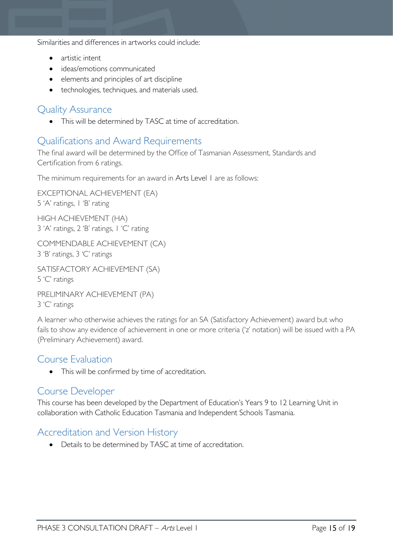Similarities and differences in artworks could include:

- artistic intent
- ideas/emotions communicated
- elements and principles of art discipline
- technologies, techniques, and materials used.

### <span id="page-14-0"></span>Quality Assurance

• This will be determined by TASC at time of accreditation.

### <span id="page-14-1"></span>Qualifications and Award Requirements

The final award will be determined by the Office of Tasmanian Assessment, Standards and Certification from 6 ratings.

The minimum requirements for an award in Arts Level 1 are as follows:

EXCEPTIONAL ACHIEVEMENT (EA) 5 'A' ratings, 1 'B' rating

HIGH ACHIEVEMENT (HA) 3 'A' ratings, 2 'B' ratings, 1 'C' rating

COMMENDABLE ACHIEVEMENT (CA) 3 'B' ratings, 3 'C' ratings

SATISFACTORY ACHIEVEMENT (SA)

5 'C' ratings

PRELIMINARY ACHIEVEMENT (PA) 3 'C' ratings

A learner who otherwise achieves the ratings for an SA (Satisfactory Achievement) award but who fails to show any evidence of achievement in one or more criteria ('z' notation) will be issued with a PA (Preliminary Achievement) award.

### <span id="page-14-2"></span>Course Evaluation

• This will be confirmed by time of accreditation.

## <span id="page-14-3"></span>Course Developer

This course has been developed by the Department of Education's Years 9 to 12 Learning Unit in collaboration with Catholic Education Tasmania and Independent Schools Tasmania.

## <span id="page-14-4"></span>Accreditation and Version History

• Details to be determined by TASC at time of accreditation.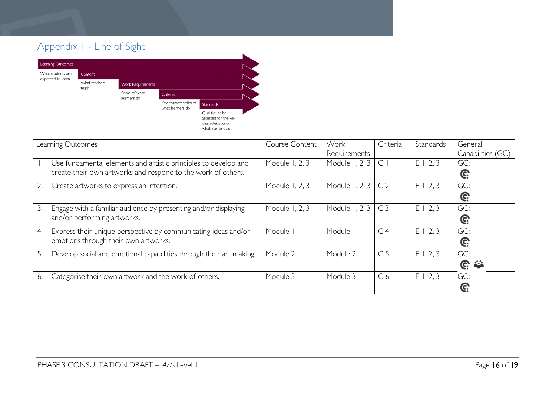# Appendix 1 - Line of Sight



<span id="page-15-0"></span>

|    | Learning Outcomes                                                                                                               | Course Content | Work<br>Requirements      | Criteria       | Standards | General<br>Capabilities (GC) |
|----|---------------------------------------------------------------------------------------------------------------------------------|----------------|---------------------------|----------------|-----------|------------------------------|
|    | Use fundamental elements and artistic principles to develop and<br>create their own artworks and respond to the work of others. | Module 1, 2, 3 | Module 1, 2, 3            | $\subset$      | E1, 2, 3  | GC:<br>C:                    |
|    | Create artworks to express an intention.                                                                                        | Module 1, 2, 3 | Module 1, 2, 3            | C <sub>2</sub> | E1, 2, 3  | GC:<br>C:                    |
| 3. | Engage with a familiar audience by presenting and/or displaying<br>and/or performing artworks.                                  | Module 1, 2, 3 | Module 1, 2, 3 $\mid$ C 3 |                | E1, 2, 3  | GC:<br>C:                    |
| 4. | Express their unique perspective by communicating ideas and/or<br>emotions through their own artworks.                          | Module         | Module                    | C <sub>4</sub> | E1, 2, 3  | GC:<br>C:                    |
| 5. | Develop social and emotional capabilities through their art making.                                                             | Module 2       | Module 2                  | C <sub>5</sub> | E1, 2, 3  | GC:<br><u>ଙ୍</u>             |
| 6. | Categorise their own artwork and the work of others.                                                                            | Module 3       | Module 3                  | C <sub>6</sub> | E1, 2, 3  | GC:<br>G:                    |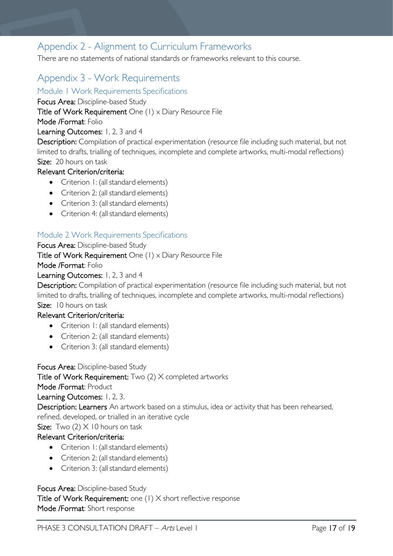# <span id="page-16-0"></span>Appendix 2 - Alignment to Curriculum Frameworks

There are no statements of national standards or frameworks relevant to this course.

# <span id="page-16-1"></span>Appendix 3 - Work Requirements

<span id="page-16-2"></span>Module 1 Work Requirements Specifications

Focus Area: Discipline-based Study

Title of Work Requirement One (1) x Diary Resource File

Mode /Format: Folio

#### Learning Outcomes: 1, 2, 3 and 4

Description: Compilation of practical experimentation (resource file including such material, but not limited to drafts, trialling of techniques, incomplete and complete artworks, multi-modal reflections) Size: 20 hours on task

#### Relevant Criterion/criteria:

- Criterion 1: (all standard elements)
- Criterion 2: (all standard elements)
- Criterion 3: (all standard elements)
- Criterion 4: (all standard elements)

#### <span id="page-16-3"></span>Module 2 Work Requirements Specifications

Focus Area: Discipline-based Study Title of Work Requirement One (1) x Diary Resource File Mode /Format: Folio Learning Outcomes: 1, 2, 3 and 4

Description: Compilation of practical experimentation (resource file including such material, but not limited to drafts, trialling of techniques, incomplete and complete artworks, multi-modal reflections) Size: 10 hours on task

#### Relevant Criterion/criteria:

- Criterion I: (all standard elements)
- Criterion 2: (all standard elements)
- Criterion 3: (all standard elements)

Focus Area: Discipline-based Study

Title of Work Requirement: Two (2) X completed artworks

Mode /Format: Product

Learning Outcomes: 1, 2, 3.

Description: Learners An artwork based on a stimulus, idea or activity that has been rehearsed, refined, developed, or trialled in an iterative cycle

**Size:** Two  $(2) \times 10$  hours on task

#### Relevant Criterion/criteria:

- Criterion 1: (all standard elements)
- Criterion 2: (all standard elements)
- Criterion 3: (all standard elements)

#### Focus Area: Discipline-based Study

Title of Work Requirement: one (1) X short reflective response Mode /Format: Short response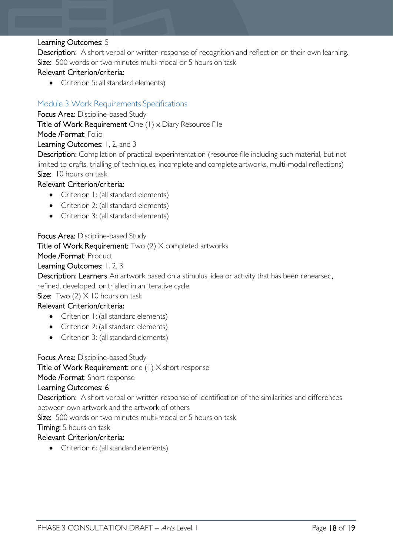#### Learning Outcomes: 5

Description: A short verbal or written response of recognition and reflection on their own learning. Size: 500 words or two minutes multi-modal or 5 hours on task

#### Relevant Criterion/criteria:

• Criterion 5: all standard elements)

#### <span id="page-17-0"></span>Module 3 Work Requirements Specifications

Focus Area: Discipline-based Study

Title of Work Requirement One (1) x Diary Resource File

Mode /Format: Folio

Learning Outcomes: 1, 2, and 3

Description: Compilation of practical experimentation (resource file including such material, but not limited to drafts, trialling of techniques, incomplete and complete artworks, multi-modal reflections) Size: 10 hours on task

#### Relevant Criterion/criteria:

- Criterion I: (all standard elements)
- Criterion 2: (all standard elements)
- Criterion 3: (all standard elements)

#### Focus Area: Discipline-based Study

Title of Work Requirement: Two (2) X completed artworks

Mode /Format: Product

Learning Outcomes: 1. 2, 3

Description: Learners An artwork based on a stimulus, idea or activity that has been rehearsed,

refined, developed, or trialled in an iterative cycle

Size: Two  $(2)$  X 10 hours on task

#### Relevant Criterion/criteria:

- Criterion 1: (all standard elements)
- Criterion 2: (all standard elements)
- Criterion 3: (all standard elements)

Focus Area: Discipline-based Study

Title of Work Requirement: one (1) X short response

Mode /Format: Short response

#### Learning Outcomes: 6

Description: A short verbal or written response of identification of the similarities and differences between own artwork and the artwork of others

Size: 500 words or two minutes multi-modal or 5 hours on task

Timing: 5 hours on task

#### Relevant Criterion/criteria:

• Criterion 6: (all standard elements)